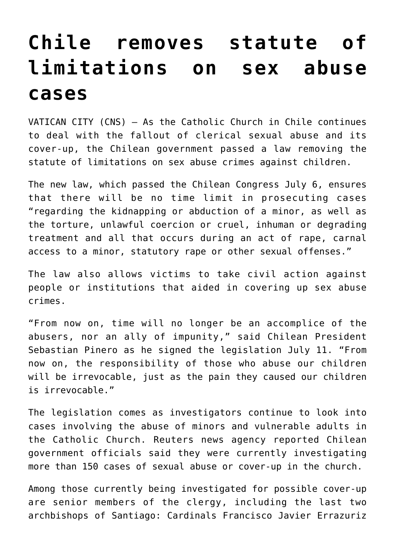## **[Chile removes statute of](https://www.osvnews.com/2019/07/12/chile-removes-statute-of-limitations-on-sex-abuse-cases/) [limitations on sex abuse](https://www.osvnews.com/2019/07/12/chile-removes-statute-of-limitations-on-sex-abuse-cases/) [cases](https://www.osvnews.com/2019/07/12/chile-removes-statute-of-limitations-on-sex-abuse-cases/)**

VATICAN CITY (CNS) — As the Catholic Church in Chile continues to deal with the fallout of clerical sexual abuse and its cover-up, the Chilean government passed a law removing the statute of limitations on sex abuse crimes against children.

The new law, which passed the Chilean Congress July 6, ensures that there will be no time limit in prosecuting cases "regarding the kidnapping or abduction of a minor, as well as the torture, unlawful coercion or cruel, inhuman or degrading treatment and all that occurs during an act of rape, carnal access to a minor, statutory rape or other sexual offenses."

The law also allows victims to take civil action against people or institutions that aided in covering up sex abuse crimes.

"From now on, time will no longer be an accomplice of the abusers, nor an ally of impunity," said Chilean President Sebastian Pinero as he signed the legislation July 11. "From now on, the responsibility of those who abuse our children will be irrevocable, just as the pain they caused our children is irrevocable."

The legislation comes as investigators continue to look into cases involving the abuse of minors and vulnerable adults in the Catholic Church. Reuters news agency reported Chilean government officials said they were currently investigating more than 150 cases of sexual abuse or cover-up in the church.

Among those currently being investigated for possible cover-up are senior members of the clergy, including the last two archbishops of Santiago: Cardinals Francisco Javier Errazuriz